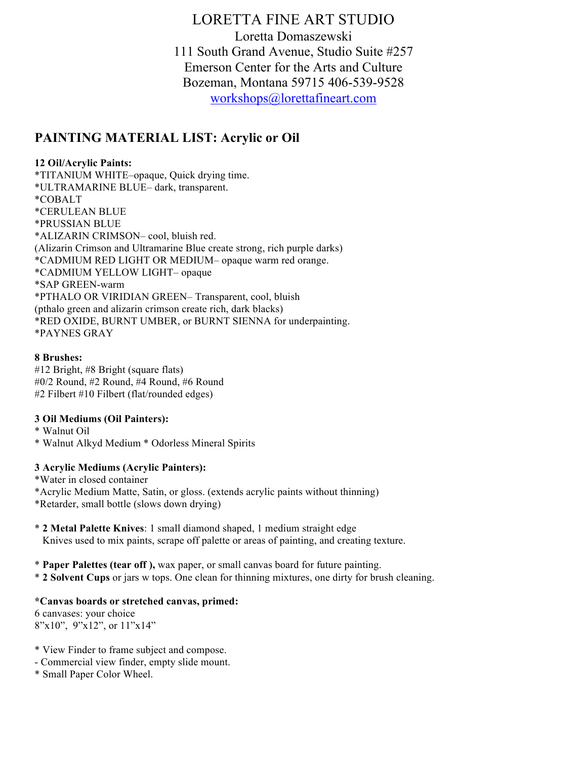LORETTA FINE ART STUDIO Loretta Domaszewski 111 South Grand Avenue, Studio Suite #257 Emerson Center for the Arts and Culture Bozeman, Montana 59715 406-539-9528 workshops@lorettafineart.com

## **PAINTING MATERIAL LIST: Acrylic or Oil**

#### **12 Oil/Acrylic Paints:**

\*TITANIUM WHITE–opaque, Quick drying time. \*ULTRAMARINE BLUE– dark, transparent. \*COBALT \*CERULEAN BLUE \*PRUSSIAN BLUE \*ALIZARIN CRIMSON– cool, bluish red. (Alizarin Crimson and Ultramarine Blue create strong, rich purple darks) \*CADMIUM RED LIGHT OR MEDIUM– opaque warm red orange. \*CADMIUM YELLOW LIGHT– opaque \*SAP GREEN-warm \*PTHALO OR VIRIDIAN GREEN– Transparent, cool, bluish (pthalo green and alizarin crimson create rich, dark blacks) \*RED OXIDE, BURNT UMBER, or BURNT SIENNA for underpainting. \*PAYNES GRAY

#### **8 Brushes:**

#12 Bright, #8 Bright (square flats) #0/2 Round, #2 Round, #4 Round, #6 Round #2 Filbert #10 Filbert (flat/rounded edges)

#### **3 Oil Mediums (Oil Painters):**

\* Walnut Oil

\* Walnut Alkyd Medium \* Odorless Mineral Spirits

#### **3 Acrylic Mediums (Acrylic Painters):**

\*Water in closed container \*Acrylic Medium Matte, Satin, or gloss. (extends acrylic paints without thinning) \*Retarder, small bottle (slows down drying)

- \* **2 Metal Palette Knives**: 1 small diamond shaped, 1 medium straight edge Knives used to mix paints, scrape off palette or areas of painting, and creating texture.
- \* **Paper Palettes (tear off ),** wax paper, or small canvas board for future painting.
- \* **2 Solvent Cups** or jars w tops. One clean for thinning mixtures, one dirty for brush cleaning.

#### **\*Canvas boards or stretched canvas, primed:**

6 canvases: your choice 8"x10", 9"x12", or 11"x14"

- \* View Finder to frame subject and compose.
- Commercial view finder, empty slide mount.
- \* Small Paper Color Wheel.